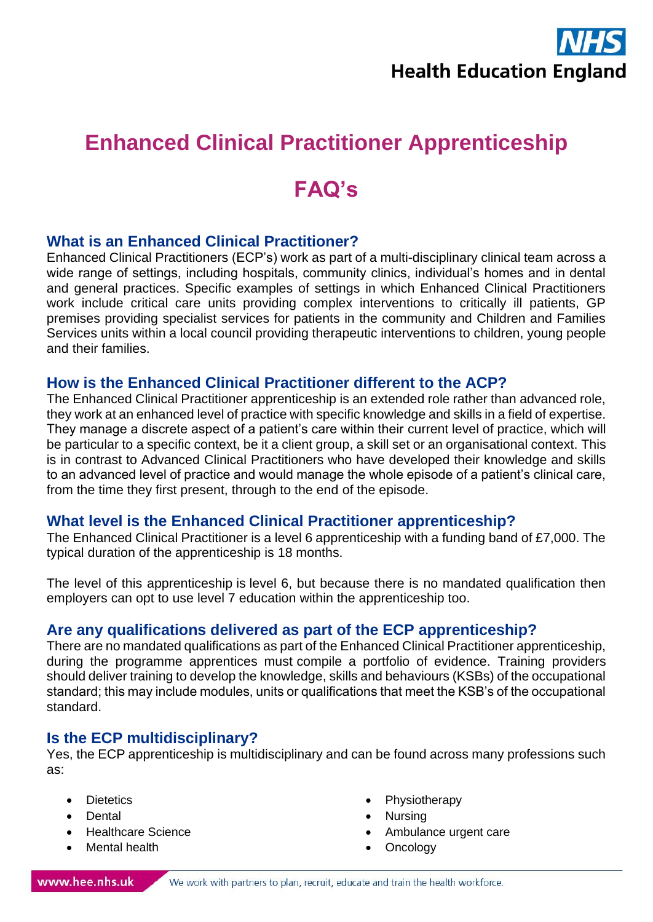

# **Enhanced Clinical Practitioner Apprenticeship**

# **FAQ's**

### **What is an Enhanced Clinical Practitioner?**

Enhanced Clinical Practitioners (ECP's) work as part of a multi-disciplinary clinical team across a wide range of settings, including hospitals, community clinics, individual's homes and in dental and general practices. Specific examples of settings in which Enhanced Clinical Practitioners work include critical care units providing complex interventions to critically ill patients, GP premises providing specialist services for patients in the community and Children and Families Services units within a local council providing therapeutic interventions to children, young people and their families.

#### **How is the Enhanced Clinical Practitioner different to the ACP?**

The Enhanced Clinical Practitioner apprenticeship is an extended role rather than advanced role, they work at an enhanced level of practice with specific knowledge and skills in a field of expertise. They manage a discrete aspect of a patient's care within their current level of practice, which will be particular to a specific context, be it a client group, a skill set or an organisational context. This is in contrast to Advanced Clinical Practitioners who have developed their knowledge and skills to an advanced level of practice and would manage the whole episode of a patient's clinical care, from the time they first present, through to the end of the episode.

### **What level is the Enhanced Clinical Practitioner apprenticeship?**

The Enhanced Clinical Practitioner is a level 6 apprenticeship with a funding band of £7,000. The typical duration of the apprenticeship is 18 months.

The level of this apprenticeship is level 6, but because there is no mandated qualification then employers can opt to use level 7 education within the apprenticeship too.

### **Are any qualifications delivered as part of the ECP apprenticeship?**

There are no mandated qualifications as part of the Enhanced Clinical Practitioner apprenticeship, during the programme apprentices must compile a portfolio of evidence. Training providers should deliver training to develop the knowledge, skills and behaviours (KSBs) of the occupational standard; this may include modules, units or qualifications that meet the KSB's of the occupational standard.

### **Is the ECP multidisciplinary?**

Yes, the ECP apprenticeship is multidisciplinary and can be found across many professions such as:

- **Dietetics**
- Dental
- Healthcare Science
- **Mental health**
- **Physiotherapy**
- Nursing
- Ambulance urgent care
- Oncology